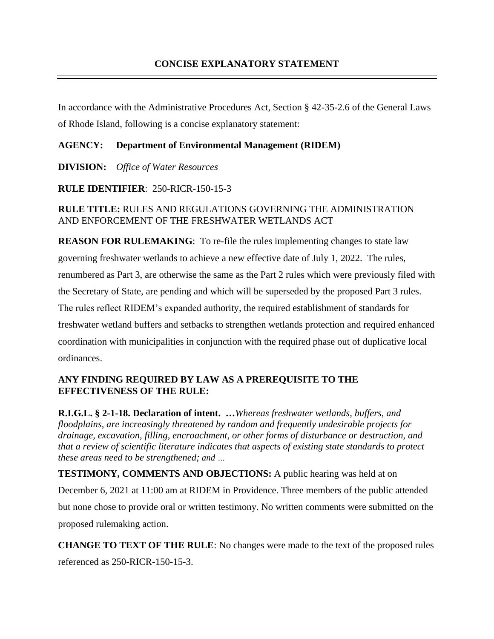In accordance with the Administrative Procedures Act, Section § 42-35-2.6 of the General Laws of Rhode Island, following is a concise explanatory statement:

## **AGENCY: Department of Environmental Management (RIDEM)**

**DIVISION:** *Office of Water Resources*

**RULE IDENTIFIER**: 250-RICR-150-15-3

## **RULE TITLE:** RULES AND REGULATIONS GOVERNING THE ADMINISTRATION AND ENFORCEMENT OF THE FRESHWATER WETLANDS ACT

**REASON FOR RULEMAKING**: To re-file the rules implementing changes to state law governing freshwater wetlands to achieve a new effective date of July 1, 2022. The rules, renumbered as Part 3, are otherwise the same as the Part 2 rules which were previously filed with the Secretary of State, are pending and which will be superseded by the proposed Part 3 rules. The rules reflect RIDEM's expanded authority, the required establishment of standards for freshwater wetland buffers and setbacks to strengthen wetlands protection and required enhanced coordination with municipalities in conjunction with the required phase out of duplicative local ordinances.

## **ANY FINDING REQUIRED BY LAW AS A PREREQUISITE TO THE EFFECTIVENESS OF THE RULE:**

**R.I.G.L. § 2-1-18. Declaration of intent. …***Whereas freshwater wetlands, buffers, and floodplains, are increasingly threatened by random and frequently undesirable projects for drainage, excavation, filling, encroachment, or other forms of disturbance or destruction, and that a review of scientific literature indicates that aspects of existing state standards to protect these areas need to be strengthened; and …*

**TESTIMONY, COMMENTS AND OBJECTIONS:** A public hearing was held at on December 6, 2021 at 11:00 am at RIDEM in Providence. Three members of the public attended but none chose to provide oral or written testimony. No written comments were submitted on the proposed rulemaking action.

**CHANGE TO TEXT OF THE RULE**: No changes were made to the text of the proposed rules referenced as 250-RICR-150-15-3.